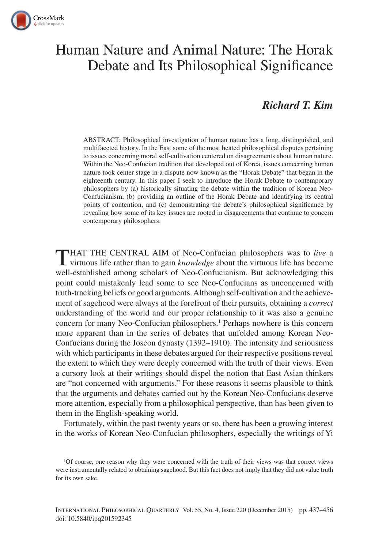

# Human Nature and Animal Nature: The Horak Debate and Its Philosophical Significance

## *Richard T. Kim*

ABSTRACT: Philosophical investigation of human nature has a long, distinguished, and multifaceted history. In the East some of the most heated philosophical disputes pertaining to issues concerning moral self-cultivation centered on disagreements about human nature. Within the Neo-Confucian tradition that developed out of Korea, issues concerning human nature took center stage in a dispute now known as the "Horak Debate" that began in the eighteenth century. In this paper I seek to introduce the Horak Debate to contemporary philosophers by (a) historically situating the debate within the tradition of Korean Neo-Confucianism, (b) providing an outline of the Horak Debate and identifying its central points of contention, and (c) demonstrating the debate's philosophical significance by revealing how some of its key issues are rooted in disagreements that continue to concern contemporary philosophers.

THAT THE CENTRAL AIM of Neo-Confucian philosophers was to *live* a virtuous life rather than to gain *knowledge* about the virtuous life has become well-established among scholars of Neo-Confucianism. But acknowledging this point could mistakenly lead some to see Neo-Confucians as unconcerned with truth-tracking beliefs or good arguments. Although self-cultivation and the achievement of sagehood were always at the forefront of their pursuits, obtaining a *correct* understanding of the world and our proper relationship to it was also a genuine concern for many Neo-Confucian philosophers.<sup>1</sup> Perhaps nowhere is this concern more apparent than in the series of debates that unfolded among Korean Neo-Confucians during the Joseon dynasty (1392–1910). The intensity and seriousness with which participants in these debates argued for their respective positions reveal the extent to which they were deeply concerned with the truth of their views. Even a cursory look at their writings should dispel the notion that East Asian thinkers are "not concerned with arguments." For these reasons it seems plausible to think that the arguments and debates carried out by the Korean Neo-Confucians deserve more attention, especially from a philosophical perspective, than has been given to them in the English-speaking world.

Fortunately, within the past twenty years or so, there has been a growing interest in the works of Korean Neo-Confucian philosophers, especially the writings of Yi

<sup>1</sup> Of course, one reason why they were concerned with the truth of their views was that correct views were instrumentally related to obtaining sagehood. But this fact does not imply that they did not value truth for its own sake.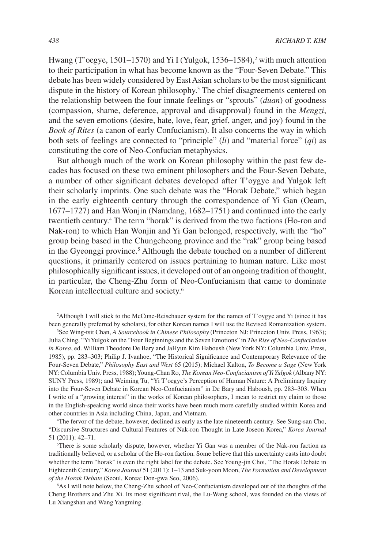Hwang (T'oegye, 1501–1570) and Yi I (Yulgok, 1536–1584),<sup>2</sup> with much attention to their participation in what has become known as the "Four-Seven Debate." This debate has been widely considered by East Asian scholars to be the most significant dispute in the history of Korean philosophy.<sup>3</sup> The chief disagreements centered on the relationship between the four innate feelings or "sprouts" (*duan*) of goodness (compassion, shame, deference, approval and disapproval) found in the *Mengzi*, and the seven emotions (desire, hate, love, fear, grief, anger, and joy) found in the *Book of Rites* (a canon of early Confucianism). It also concerns the way in which both sets of feelings are connected to "principle" (*li*) and "material force" (*qi*) as constituting the core of Neo-Confucian metaphysics.

But although much of the work on Korean philosophy within the past few decades has focused on these two eminent philosophers and the Four-Seven Debate, a number of other significant debates developed after T'oygye and Yulgok left their scholarly imprints. One such debate was the "Horak Debate," which began in the early eighteenth century through the correspondence of Yi Gan (Oeam, 1677–1727) and Han Wonjin (Namdang, 1682–1751) and continued into the early twentieth century.4 The term "horak" is derived from the two factions (Ho-ron and Nak-ron) to which Han Wonjin and Yi Gan belonged, respectively, with the "ho" group being based in the Chungcheong province and the "rak" group being based in the Gyeonggi province.<sup>5</sup> Although the debate touched on a number of different questions, it primarily centered on issues pertaining to human nature. Like most philosophically significant issues, it developed out of an ongoing tradition of thought, in particular, the Cheng-Zhu form of Neo-Confucianism that came to dominate Korean intellectual culture and society.6

3 See Wing-tsit Chan, *A Sourcebook in Chinese Philosophy* (Princeton NJ: Princeton Univ. Press, 1963); Julia Ching, "Yi Yulgok on the "Four Beginnings and the Seven Emotions" in *The Rise of Neo-Confucianism in Korea*, ed. William Theodore De Bary and JaHyun Kim Haboush (New York NY: Columbia Univ. Press, 1985), pp. 283–303; Philip J. Ivanhoe, "The Historical Significance and Contemporary Relevance of the Four-Seven Debate," *Philosophy East and West* 65 (2015); Michael Kalton, *To Become a Sage* (New York NY: Columbia Univ. Press, 1988); Young-Chan Ro, *The Korean Neo-Confucianism of Yi Yulgok* (Albany NY: SUNY Press, 1989); and Weiming Tu, "Yi T'oegye's Perception of Human Nature: A Preliminary Inquiry into the Four-Seven Debate in Korean Neo-Confucianism" in De Bary and Haboush, pp. 283–303. When I write of a "growing interest" in the works of Korean philosophers, I mean to restrict my claim to those in the English-speaking world since their works have been much more carefully studied within Korea and other countries in Asia including China, Japan, and Vietnam.

4 The fervor of the debate, however, declined as early as the late nineteenth century. See Sung-san Cho, "Discursive Structures and Cultural Features of Nak-ron Thought in Late Joseon Korea," *Korea Journal*  51 (2011): 42–71.

5 There is some scholarly dispute, however, whether Yi Gan was a member of the Nak-ron faction as traditionally believed, or a scholar of the Ho-ron faction. Some believe that this uncertainty casts into doubt whether the term "horak" is even the right label for the debate. See Young-jin Choi, "The Horak Debate in Eighteenth Century," *Korea Journal* 51 (2011): 1–13 and Suk-yoon Moon, *The Formation and Development of the Horak Debate* (Seoul, Korea: Don-gwa Seo, 2006).

6 As I will note below, the Cheng-Zhu school of Neo-Confucianism developed out of the thoughts of the Cheng Brothers and Zhu Xi. Its most significant rival, the Lu-Wang school, was founded on the views of Lu Xiangshan and Wang Yangming.

<sup>2</sup> Although I will stick to the McCune-Reischauer system for the names of T'oygye and Yi (since it has been generally preferred by scholars), for other Korean names I will use the Revised Romanization system.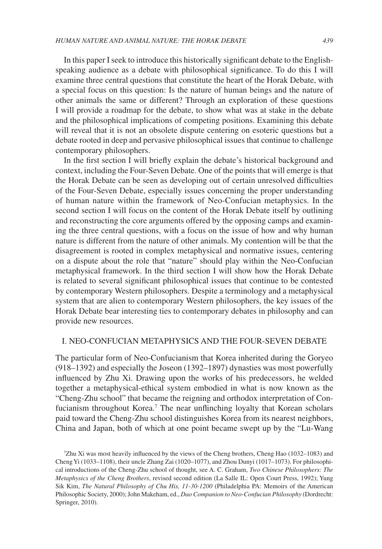In this paper I seek to introduce this historically significant debate to the Englishspeaking audience as a debate with philosophical significance. To do this I will examine three central questions that constitute the heart of the Horak Debate, with a special focus on this question: Is the nature of human beings and the nature of other animals the same or different? Through an exploration of these questions I will provide a roadmap for the debate, to show what was at stake in the debate and the philosophical implications of competing positions. Examining this debate will reveal that it is not an obsolete dispute centering on esoteric questions but a debate rooted in deep and pervasive philosophical issues that continue to challenge contemporary philosophers.

In the first section I will briefly explain the debate's historical background and context, including the Four-Seven Debate. One of the points that will emerge is that the Horak Debate can be seen as developing out of certain unresolved difficulties of the Four-Seven Debate, especially issues concerning the proper understanding of human nature within the framework of Neo-Confucian metaphysics. In the second section I will focus on the content of the Horak Debate itself by outlining and reconstructing the core arguments offered by the opposing camps and examining the three central questions, with a focus on the issue of how and why human nature is different from the nature of other animals. My contention will be that the disagreement is rooted in complex metaphysical and normative issues, centering on a dispute about the role that "nature" should play within the Neo-Confucian metaphysical framework. In the third section I will show how the Horak Debate is related to several significant philosophical issues that continue to be contested by contemporary Western philosophers. Despite a terminology and a metaphysical system that are alien to contemporary Western philosophers, the key issues of the Horak Debate bear interesting ties to contemporary debates in philosophy and can provide new resources.

### I. NEO-CONFUCIAN METAPHYSICS AND THE FOUR-SEVEN DEBATE

The particular form of Neo-Confucianism that Korea inherited during the Goryeo (918–1392) and especially the Joseon (1392–1897) dynasties was most powerfully influenced by Zhu Xi. Drawing upon the works of his predecessors, he welded together a metaphysical-ethical system embodied in what is now known as the "Cheng-Zhu school" that became the reigning and orthodox interpretation of Confucianism throughout Korea.<sup>7</sup> The near unflinching loyalty that Korean scholars paid toward the Cheng-Zhu school distinguishes Korea from its nearest neighbors, China and Japan, both of which at one point became swept up by the "Lu-Wang

<sup>7</sup> Zhu Xi was most heavily influenced by the views of the Cheng brothers, Cheng Hao (1032–1083) and Cheng Yi (1033–1108), their uncle Zhang Zai (1020–1077), and Zhou Dunyi (1017–1073). For philosophical introductions of the Cheng-Zhu school of thought, see A. C. Graham, *Two Chinese Philosophers: The Metaphysics of the Cheng Brothers*, revised second edition (La Salle IL: Open Court Press, 1992); Yung Sik Kim, *The Natural Philosophy of Chu His, 11-30-1200* (Philadelphia PA: Memoirs of the American Philosophic Society, 2000); John Makeham, ed., *Dao Companion to Neo-Confucian Philosophy* (Dordrecht: Springer, 2010).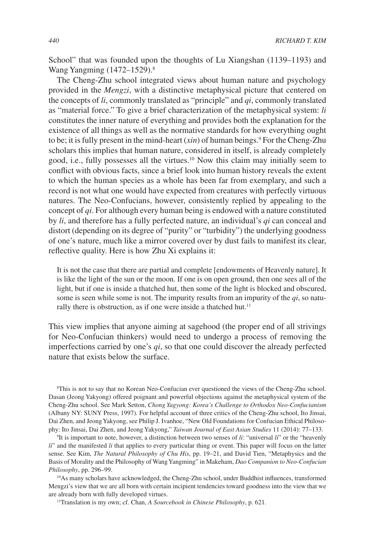School" that was founded upon the thoughts of Lu Xiangshan (1139–1193) and Wang Yangming (1472–1529).<sup>8</sup>

The Cheng-Zhu school integrated views about human nature and psychology provided in the *Mengzi*, with a distinctive metaphysical picture that centered on the concepts of *li*, commonly translated as "principle" and *qi*, commonly translated as "material force." To give a brief characterization of the metaphysical system: *li* constitutes the inner nature of everything and provides both the explanation for the existence of all things as well as the normative standards for how everything ought to be; it is fully present in the mind-heart (*xin*) of human beings.<sup>9</sup> For the Cheng-Zhu scholars this implies that human nature, considered in itself, is already completely good, i.e., fully possesses all the virtues.10 Now this claim may initially seem to conflict with obvious facts, since a brief look into human history reveals the extent to which the human species as a whole has been far from exemplary, and such a record is not what one would have expected from creatures with perfectly virtuous natures. The Neo-Confucians, however, consistently replied by appealing to the concept of *qi*. For although every human being is endowed with a nature constituted by *li*, and therefore has a fully perfected nature, an individual's *qi* can conceal and distort (depending on its degree of "purity" or "turbidity") the underlying goodness of one's nature, much like a mirror covered over by dust fails to manifest its clear, reflective quality. Here is how Zhu Xi explains it:

It is not the case that there are partial and complete [endowments of Heavenly nature]. It is like the light of the sun or the moon. If one is on open ground, then one sees all of the light, but if one is inside a thatched hut, then some of the light is blocked and obscured, some is seen while some is not. The impurity results from an impurity of the *qi*, so naturally there is obstruction, as if one were inside a thatched hut. $11$ 

This view implies that anyone aiming at sagehood (the proper end of all strivings for Neo-Confucian thinkers) would need to undergo a process of removing the imperfections carried by one's *qi*, so that one could discover the already perfected nature that exists below the surface.

8 This is not to say that no Korean Neo-Confucian ever questioned the views of the Cheng-Zhu school. Dasan (Jeong Yakyong) offered poignant and powerful objections against the metaphysical system of the Cheng-Zhu school. See Mark Setton, *Chong Yagyong: Korea's Challenge to Orthodox Neo-Confucianism*  (Albany NY: SUNY Press, 1997). For helpful account of three critics of the Cheng-Zhu school, Ito Jinsai, Dai Zhen, and Jeong Yakyong, see Philip J. Ivanhoe, "New Old Foundations for Confucian Ethical Philosophy: Ito Jinsai, Dai Zhen, and Jeong Yakyong," *Taiwan Journal of East Asian Studies* 11 (2014): 77–133.

9 It is important to note, however, a distinction between two senses of *li*: "universal *li*" or the "heavenly *li*" and the manifested *li* that applies to every particular thing or event. This paper will focus on the latter sense. See Kim, *The Natural Philosophy of Chu His*, pp. 19–21, and David Tien, "Metaphysics and the Basis of Morality and the Philosophy of Wang Yangming" in Makeham, *Dao Companion to Neo-Confucian Philosophy*, pp. 296–99.

10As many scholars have acknowledged, the Cheng-Zhu school, under Buddhist influences, transformed Mengzi's view that we are all born with certain incipient tendencies toward goodness into the view that we are already born with fully developed virtues.

11Translation is my own; cf. Chan, *A Sourcebook in Chinese Philosophy*, p. 621.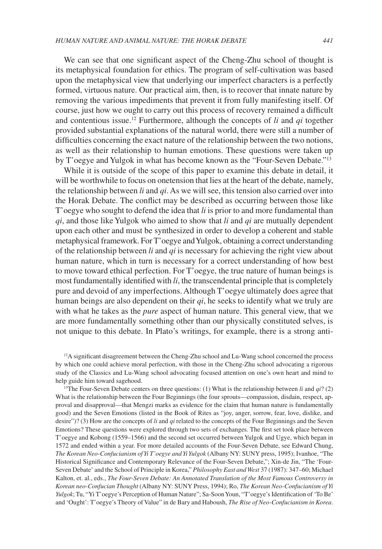We can see that one significant aspect of the Cheng-Zhu school of thought is its metaphysical foundation for ethics. The program of self-cultivation was based upon the metaphysical view that underlying our imperfect characters is a perfectly formed, virtuous nature. Our practical aim, then, is to recover that innate nature by removing the various impediments that prevent it from fully manifesting itself. Of course, just how we ought to carry out this process of recovery remained a difficult and contentious issue.12 Furthermore, although the concepts of *li* and *qi* together provided substantial explanations of the natural world, there were still a number of difficulties concerning the exact nature of the relationship between the two notions, as well as their relationship to human emotions. These questions were taken up by T'oegye and Yulgok in what has become known as the "Four-Seven Debate."13

While it is outside of the scope of this paper to examine this debate in detail, it will be worthwhile to focus on onetension that lies at the heart of the debate, namely, the relationship between *li* and *qi*. As we will see, this tension also carried over into the Horak Debate. The conflict may be described as occurring between those like T'oegye who sought to defend the idea that *li* is prior to and more fundamental than *qi*, and those like Yulgok who aimed to show that *li* and *qi* are mutually dependent upon each other and must be synthesized in order to develop a coherent and stable metaphysical framework. For T'oegye and Yulgok, obtaining a correct understanding of the relationship between *li* and *qi* is necessary for achieving the right view about human nature, which in turn is necessary for a correct understanding of how best to move toward ethical perfection. For T'oegye, the true nature of human beings is most fundamentally identified with *li*, the transcendental principle that is completely pure and devoid of any imperfections. Although T'oegye ultimately does agree that human beings are also dependent on their *qi*, he seeks to identify what we truly are with what he takes as the *pure* aspect of human nature. This general view, that we are more fundamentally something other than our physically constituted selves, is not unique to this debate. In Plato's writings, for example, there is a strong anti-

<sup>12</sup>A significant disagreement between the Cheng-Zhu school and Lu-Wang school concerned the process by which one could achieve moral perfection, with those in the Cheng-Zhu school advocating a rigorous study of the Classics and Lu-Wang school advocating focused attention on one's own heart and mind to help guide him toward sagehood.

<sup>13</sup>The Four-Seven Debate centers on three questions: (1) What is the relationship between *li* and  $qi$ ? (2) What is the relationship between the Four Beginnings (the four sprouts—compassion, disdain, respect, approval and disapproval—that Mengzi marks as evidence for the claim that human nature is fundamentally good) and the Seven Emotions (listed in the Book of Rites as "joy, anger, sorrow, fear, love, dislike, and desire")? (3) How are the concepts of *li* and *qi* related to the concepts of the Four Beginnings and the Seven Emotions? These questions were explored through two sets of exchanges. The first set took place between T'oegye and Kobong (1559–1566) and the second set occurred between Yulgok and Ugye, which began in 1572 and ended within a year. For more detailed accounts of the Four-Seven Debate, see Edward Chung, *The Korean Neo-Confucianism of Yi T'oegye and Yi Yulgok* (Albany NY: SUNY press, 1995); Ivanhoe, "The Historical Significance and Contemporary Relevance of the Four-Seven Debate,"; Xin-de Jin, "The 'Four-Seven Debate' and the School of Principle in Korea," *Philosophy East and West* 37 (1987): 347–60; Michael Kalton, et. al., eds., *The Four-Seven Debate: An Annotated Translation of the Most Famous Controversy in Korean neo-Confucian Thought* (Albany NY: SUNY Press, 1994); Ro, *The Korean Neo-Confucianism of Yi Yulgok*; Tu, "Yi T'oegye's Perception of Human Nature"; Sa-Soon Youn, "T'oegye's Identification of 'To Be' and 'Ought': T'oegye's Theory of Value" in de Bary and Haboush, *The Rise of Neo-Confucianism in Korea*.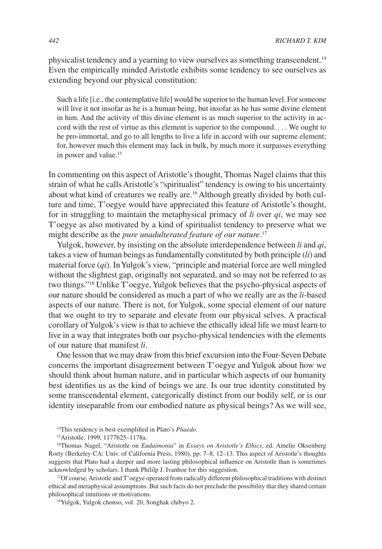physicalist tendency and a yearning to view ourselves as something transcendent.14 Even the empirically minded Aristotle exhibits some tendency to see ourselves as extending beyond our physical constitution:

Such a life [i.e., the contemplative life] would be superior to the human level. For someone will live it not insofar as he is a human being, but insofar as he has some divine element in him. And the activity of this divine element is as much superior to the activity in accord with the rest of virtue as this element is superior to the compound. . . . We ought to be pro-immortal, and go to all lengths to live a life in accord with our supreme element; for, however much this element may lack in bulk, by much more it surpasses everything in power and value.<sup>15</sup>

In commenting on this aspect of Aristotle's thought, Thomas Nagel claims that this strain of what he calls Aristotle's "spiritualist" tendency is owing to his uncertainty about what kind of creatures we really are.16 Although greatly divided by both culture and time, T'oegye would have appreciated this feature of Aristotle's thought, for in struggling to maintain the metaphysical primacy of *li* over *qi*, we may see T'oegye as also motivated by a kind of spiritualist tendency to preserve what we might describe as the *pure unadulterated feature of our nature*. 17

Yulgok, however, by insisting on the absolute interdependence between *li* and *qi*, takes a view of human beings as fundamentally constituted by both principle (*li*) and material force (*qi*). In Yulgok's view, "principle and material force are well mingled without the slightest gap, originally not separated, and so may not be referred to as two things."18 Unlike T'oegye, Yulgok believes that the psycho-physical aspects of our nature should be considered as much a part of who we really are as the *li*-based aspects of our nature. There is not, for Yulgok, some special element of our nature that we ought to try to separate and elevate from our physical selves. A practical corollary of Yulgok's view is that to achieve the ethically ideal life we must learn to live in a way that integrates both our psycho-physical tendencies with the elements of our nature that manifest *li*.

One lesson that we may draw from this brief excursion into the Four-Seven Debate concerns the important disagreement between T'oegye and Yulgok about how we should think about human nature, and in particular which aspects of our humanity best identifies us as the kind of beings we are. Is our true identity constituted by some transcendental element, categorically distinct from our bodily self, or is our identity inseparable from our embodied nature as physical beings? As we will see,

14This tendency is best exemplified in Plato's *Phaedo.*

16Thomas Nagel, "Aristotle on *Eudaimonia*" in *Essays on Aristotle's Ethics*, ed. Amelie Oksenberg Rorty (Berkeley CA: Univ. of California Press, 1980), pp. 7–8, 12–13. This aspect of Aristotle's thoughts suggests that Plato had a deeper and more lasting philosophical influence on Aristotle than is sometimes acknowledged by scholars. I thank Phililp J. Ivanhoe for this suggestion.

17Of course, Aristotle and T'oegye operated from radically different philosophical traditions with distinct ethical and metaphysical assumptions. But such facts do not preclude the possibility that they shared certain philosophical intuitions or motivations.

18Yulgok, Yulgok chonso, vol. 20, Songhak chibyo 2.

<sup>15</sup>Aristotle, 1999, 1177b25–1178a.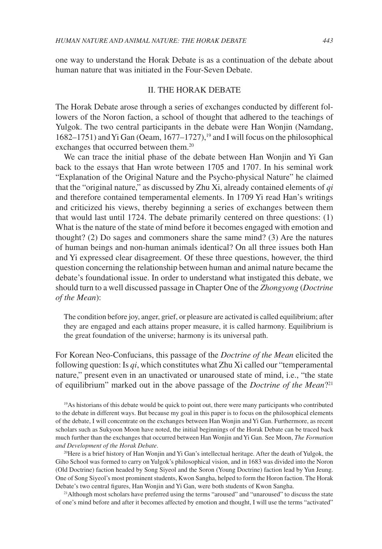one way to understand the Horak Debate is as a continuation of the debate about human nature that was initiated in the Four-Seven Debate.

#### II. THE HORAK DEBATE

The Horak Debate arose through a series of exchanges conducted by different followers of the Noron faction, a school of thought that adhered to the teachings of Yulgok. The two central participants in the debate were Han Wonjin (Namdang, 1682–1751) and Yi Gan (Oeam,  $1677-1727$ ),<sup>19</sup> and I will focus on the philosophical exchanges that occurred between them.<sup>20</sup>

We can trace the initial phase of the debate between Han Wonjin and Yi Gan back to the essays that Han wrote between 1705 and 1707. In his seminal work "Explanation of the Original Nature and the Psycho-physical Nature" he claimed that the "original nature," as discussed by Zhu Xi, already contained elements of *qi*  and therefore contained temperamental elements. In 1709 Yi read Han's writings and criticized his views, thereby beginning a series of exchanges between them that would last until 1724. The debate primarily centered on three questions: (1) What is the nature of the state of mind before it becomes engaged with emotion and thought? (2) Do sages and commoners share the same mind? (3) Are the natures of human beings and non-human animals identical? On all three issues both Han and Yi expressed clear disagreement. Of these three questions, however, the third question concerning the relationship between human and animal nature became the debate's foundational issue. In order to understand what instigated this debate, we should turn to a well discussed passage in Chapter One of the *Zhongyong* (*Doctrine of the Mean*):

The condition before joy, anger, grief, or pleasure are activated is called equilibrium; after they are engaged and each attains proper measure, it is called harmony. Equilibrium is the great foundation of the universe; harmony is its universal path.

For Korean Neo-Confucians, this passage of the *Doctrine of the Mean* elicited the following question: Is *qi*, which constitutes what Zhu Xi called our "temperamental nature," present even in an unactivated or unaroused state of mind, i.e., "the state of equilibrium" marked out in the above passage of the *Doctrine of the Mean*?21

20Here is a brief history of Han Wonjin and Yi Gan's intellectual heritage. After the death of Yulgok, the Giho School was formed to carry on Yulgok's philosophical vision, and in 1683 was divided into the Noron (Old Doctrine) faction headed by Song Siyeol and the Soron (Young Doctrine) faction lead by Yun Jeung. One of Song Siyeol's most prominent students, Kwon Sangha, helped to form the Horon faction. The Horak Debate's two central figures, Han Wonjin and Yi Gan, were both students of Kwon Sangha.

21Although most scholars have preferred using the terms "aroused" and "unaroused" to discuss the state of one's mind before and after it becomes affected by emotion and thought, I will use the terms "activated"

<sup>19</sup>As historians of this debate would be quick to point out, there were many participants who contributed to the debate in different ways. But because my goal in this paper is to focus on the philosophical elements of the debate, I will concentrate on the exchanges between Han Wonjin and Yi Gan. Furthermore, as recent scholars such as Sukyoon Moon have noted, the initial beginnings of the Horak Debate can be traced back much further than the exchanges that occurred between Han Wonjin and Yi Gan. See Moon, *The Formation and Development of the Horak Debate*.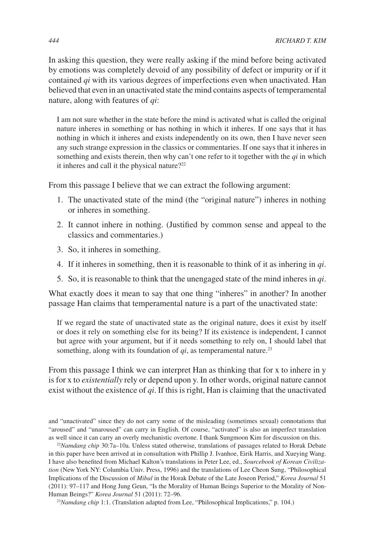In asking this question, they were really asking if the mind before being activated by emotions was completely devoid of any possibility of defect or impurity or if it contained *qi* with its various degrees of imperfections even when unactivated. Han believed that even in an unactivated state the mind contains aspects of temperamental nature, along with features of *qi*:

I am not sure whether in the state before the mind is activated what is called the original nature inheres in something or has nothing in which it inheres. If one says that it has nothing in which it inheres and exists independently on its own, then I have never seen any such strange expression in the classics or commentaries. If one says that it inheres in something and exists therein, then why can't one refer to it together with the *qi* in which it inheres and call it the physical nature?<sup>22</sup>

From this passage I believe that we can extract the following argument:

- 1. The unactivated state of the mind (the "original nature") inheres in nothing or inheres in something.
- 2. It cannot inhere in nothing. (Justified by common sense and appeal to the classics and commentaries.)
- 3. So, it inheres in something.
- 4. If it inheres in something, then it is reasonable to think of it as inhering in *qi*.
- 5. So, it is reasonable to think that the unengaged state of the mind inheres in *qi*.

What exactly does it mean to say that one thing "inheres" in another? In another passage Han claims that temperamental nature is a part of the unactivated state:

If we regard the state of unactivated state as the original nature, does it exist by itself or does it rely on something else for its being? If its existence is independent, I cannot but agree with your argument, but if it needs something to rely on, I should label that something, along with its foundation of  $qi$ , as temperamental nature.<sup>23</sup>

From this passage I think we can interpret Han as thinking that for x to inhere in y is for x to *existentially* rely or depend upon y. In other words, original nature cannot exist without the existence of *qi*. If this is right, Han is claiming that the unactivated

and "unactivated" since they do not carry some of the misleading (sometimes sexual) connotations that "aroused" and "unaroused" can carry in English. Of course, "activated" is also an imperfect translation as well since it can carry an overly mechanistic overtone. I thank Sungmoon Kim for discussion on this.

<sup>22</sup>*Namdang chip* 30:7a–10a. Unless stated otherwise, translations of passages related to Horak Debate in this paper have been arrived at in consultation with Phillip J. Ivanhoe, Eirik Harris, and Xueying Wang. I have also benefited from Michael Kalton's translations in Peter Lee, ed., *Sourcebook of Korean Civilization* (New York NY: Columbia Univ. Press, 1996) and the translations of Lee Cheon Sung, "Philosophical Implications of the Discussion of *Mibal* in the Horak Debate of the Late Joseon Period," *Korea Journal* 51 (2011): 97–117 and Hong Jung Geun, "Is the Morality of Human Beings Superior to the Morality of Non-Human Beings?" *Korea Journal* 51 (2011): 72–96.

<sup>23</sup>Namdang chip 1:1. (Translation adapted from Lee, "Philosophical Implications," p. 104.)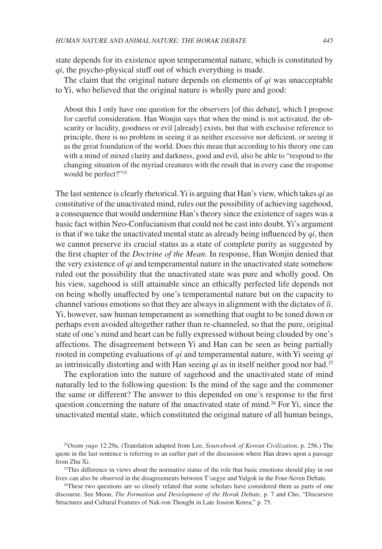state depends for its existence upon temperamental nature, which is constituted by *qi*, the psycho-physical stuff out of which everything is made.

The claim that the original nature depends on elements of *qi* was unacceptable to Yi, who believed that the original nature is wholly pure and good:

About this I only have one question for the observers [of this debate], which I propose for careful consideration. Han Wonjin says that when the mind is not activated, the obscurity or lucidity, goodness or evil [already] exists, but that with exclusive reference to principle, there is no problem in seeing it as neither excessive nor deficient, or seeing it as the great foundation of the world. Does this mean that according to his theory one can with a mind of mixed clarity and darkness, good and evil, also be able to "respond to the changing situation of the myriad creatures with the result that in every case the response would be perfect?"24

The last sentence is clearly rhetorical. Yi is arguing that Han's view, which takes *qi* as constitutive of the unactivated mind, rules out the possibility of achieving sagehood, a consequence that would undermine Han's theory since the existence of sages was a basic fact within Neo-Confucianism that could not be cast into doubt. Yi's argument is that if we take the unactivated mental state as already being influenced by *qi*, then we cannot preserve its crucial status as a state of complete purity as suggested by the first chapter of the *Doctrine of the Mean*. In response, Han Wonjin denied that the very existence of *qi* and temperamental nature in the unactivated state somehow ruled out the possibility that the unactivated state was pure and wholly good. On his view, sagehood is still attainable since an ethically perfected life depends not on being wholly unaffected by one's temperamental nature but on the capacity to channel various emotions so that they are always in alignment with the dictates of *li*. Yi, however, saw human temperament as something that ought to be toned down or perhaps even avoided altogether rather than re-channeled, so that the pure, original state of one's mind and heart can be fully expressed without being clouded by one's affections. The disagreement between Yi and Han can be seen as being partially rooted in competing evaluations of *qi* and temperamental nature, with Yi seeing *qi* as intrinsically distorting and with Han seeing *qi* as in itself neither good nor bad.25

The exploration into the nature of sagehood and the unactivated state of mind naturally led to the following question: Is the mind of the sage and the commoner the same or different? The answer to this depended on one's response to the first question concerning the nature of the unactivated state of mind.<sup>26</sup> For Yi, since the unactivated mental state, which constituted the original nature of all human beings,

<sup>25</sup>This difference in views about the normative status of the role that basic emotions should play in our lives can also be observed in the disagreements between T'oegye and Yulgok in the Four-Seven Debate.

<sup>26</sup>These two questions are so closely related that some scholars have considered them as parts of one discourse. See Moon, *The Formation and Development of the Horak Debate*, p. 7 and Cho, "Discursive Structures and Cultural Features of Nak-ron Thought in Late Joseon Korea," p. 75.

<sup>24</sup>*Oeam yugo* 12:29a. (Translation adapted from Lee, *Sourcebook of Korean Civilization*, p. 256.) The quote in the last sentence is referring to an earlier part of the discussion where Han draws upon a passage from Zhu Xi.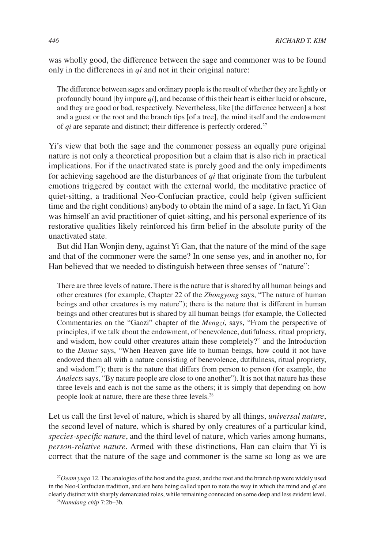was wholly good, the difference between the sage and commoner was to be found only in the differences in *qi* and not in their original nature:

The difference between sages and ordinary people is the result of whether they are lightly or profoundly bound [by impure *qi*], and because of this their heart is either lucid or obscure, and they are good or bad, respectively. Nevertheless, like [the difference between] a host and a guest or the root and the branch tips [of a tree], the mind itself and the endowment of *qi* are separate and distinct; their difference is perfectly ordered.<sup>27</sup>

Yi's view that both the sage and the commoner possess an equally pure original nature is not only a theoretical proposition but a claim that is also rich in practical implications. For if the unactivated state is purely good and the only impediments for achieving sagehood are the disturbances of *qi* that originate from the turbulent emotions triggered by contact with the external world, the meditative practice of quiet-sitting, a traditional Neo-Confucian practice, could help (given sufficient time and the right conditions) anybody to obtain the mind of a sage. In fact, Yi Gan was himself an avid practitioner of quiet-sitting, and his personal experience of its restorative qualities likely reinforced his firm belief in the absolute purity of the unactivated state.

But did Han Wonjin deny, against Yi Gan, that the nature of the mind of the sage and that of the commoner were the same? In one sense yes, and in another no, for Han believed that we needed to distinguish between three senses of "nature":

There are three levels of nature. There is the nature that is shared by all human beings and other creatures (for example, Chapter 22 of the *Zhongyong* says, "The nature of human beings and other creatures is my nature"); there is the nature that is different in human beings and other creatures but is shared by all human beings (for example, the Collected Commentaries on the "Gaozi" chapter of the *Mengzi*, says, "From the perspective of principles, if we talk about the endowment, of benevolence, dutifulness, ritual propriety, and wisdom, how could other creatures attain these completely?" and the Introduction to the *Daxue* says, "When Heaven gave life to human beings, how could it not have endowed them all with a nature consisting of benevolence, dutifulness, ritual propriety, and wisdom!"); there is the nature that differs from person to person (for example, the *Analects* says, "By nature people are close to one another"). It is not that nature has these three levels and each is not the same as the others; it is simply that depending on how people look at nature, there are these three levels.28

Let us call the first level of nature, which is shared by all things, *universal nature*, the second level of nature, which is shared by only creatures of a particular kind, *species-specific nature*, and the third level of nature, which varies among humans, *person-relative nature*. Armed with these distinctions, Han can claim that Yi is correct that the nature of the sage and commoner is the same so long as we are

<sup>27</sup>*Oeam yugo* 12. The analogies of the host and the guest, and the root and the branch tip were widely used in the Neo-Confucian tradition, and are here being called upon to note the way in which the mind and *qi* are clearly distinct with sharply demarcated roles, while remaining connected on some deep and less evident level.

<sup>28</sup>*Namdang chip* 7:2b–3b.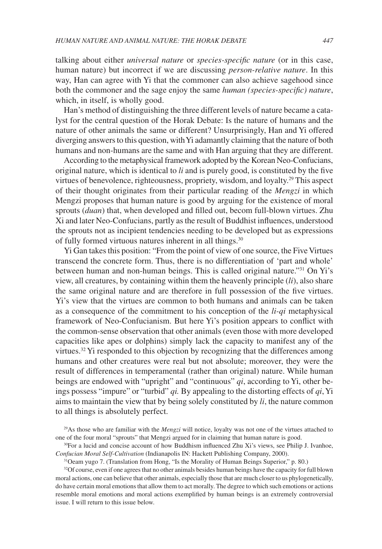talking about either *universal nature* or *species-specific nature* (or in this case, human nature) but incorrect if we are discussing *person-relative nature*. In this way, Han can agree with Yi that the commoner can also achieve sagehood since both the commoner and the sage enjoy the same *human (species-specific) nature*, which, in itself, is wholly good.

Han's method of distinguishing the three different levels of nature became a catalyst for the central question of the Horak Debate: Is the nature of humans and the nature of other animals the same or different? Unsurprisingly, Han and Yi offered diverging answers to this question, with Yi adamantly claiming that the nature of both humans and non-humans are the same and with Han arguing that they are different.

According to the metaphysical framework adopted by the Korean Neo-Confucians, original nature, which is identical to *li* and is purely good, is constituted by the five virtues of benevolence, righteousness, propriety, wisdom, and loyalty.29 This aspect of their thought originates from their particular reading of the *Mengzi* in which Mengzi proposes that human nature is good by arguing for the existence of moral sprouts (*duan*) that, when developed and filled out, becom full-blown virtues. Zhu Xi and later Neo-Confucians, partly as the result of Buddhist influences, understood the sprouts not as incipient tendencies needing to be developed but as expressions of fully formed virtuous natures inherent in all things.30

Yi Gan takes this position: "From the point of view of one source, the Five Virtues transcend the concrete form. Thus, there is no differentiation of 'part and whole' between human and non-human beings. This is called original nature."31 On Yi's view, all creatures, by containing within them the heavenly principle (*li*), also share the same original nature and are therefore in full possession of the five virtues. Yi's view that the virtues are common to both humans and animals can be taken as a consequence of the commitment to his conception of the *li-qi* metaphysical framework of Neo-Confucianism. But here Yi's position appears to conflict with the common-sense observation that other animals (even those with more developed capacities like apes or dolphins) simply lack the capacity to manifest any of the virtues.<sup>32</sup> Yi responded to this objection by recognizing that the differences among humans and other creatures were real but not absolute; moreover, they were the result of differences in temperamental (rather than original) nature. While human beings are endowed with "upright" and "continuous" *qi*, according to Yi, other beings possess "impure" or "turbid" *qi.* By appealing to the distorting effects of *qi*, Yi aims to maintain the view that by being solely constituted by *li*, the nature common to all things is absolutely perfect.

<sup>32</sup>Of course, even if one agrees that no other animals besides human beings have the capacity for full blown moral actions, one can believe that other animals, especially those that are much closer to us phylogenetically, do have certain moral emotions that allow them to act morally. The degree to which such emotions or actions resemble moral emotions and moral actions exemplified by human beings is an extremely controversial issue. I will return to this issue below.

<sup>29</sup>As those who are familiar with the *Mengzi* will notice, loyalty was not one of the virtues attached to one of the four moral "sprouts" that Mengzi argued for in claiming that human nature is good.

<sup>30</sup>For a lucid and concise account of how Buddhism influenced Zhu Xi's views, see Philip J. Ivanhoe, *Confucian Moral Self-Cultivation* (Indianapolis IN: Hackett Publishing Company, 2000).

<sup>31</sup>Oeam yugo 7. (Translation from Hong, "Is the Morality of Human Beings Superior," p. 80.)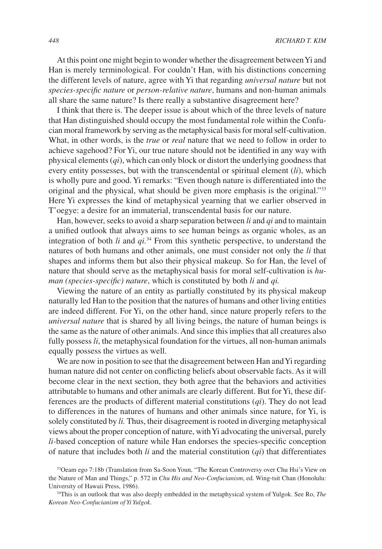At this point one might begin to wonder whether the disagreement between Yi and Han is merely terminological. For couldn't Han, with his distinctions concerning the different levels of nature, agree with Yi that regarding *universal nature* but not *species-specific nature* or *person-relative nature*, humans and non-human animals all share the same nature? Is there really a substantive disagreement here?

I think that there is. The deeper issue is about which of the three levels of nature that Han distinguished should occupy the most fundamental role within the Confucian moral framework by serving as the metaphysical basis for moral self-cultivation. What, in other words, is the *true* or *real* nature that we need to follow in order to achieve sagehood? For Yi, our true nature should not be identified in any way with physical elements (*qi*), which can only block or distort the underlying goodness that every entity possesses, but with the transcendental or spiritual element (*li*), which is wholly pure and good. Yi remarks: "Even though nature is differentiated into the original and the physical, what should be given more emphasis is the original."33 Here Yi expresses the kind of metaphysical yearning that we earlier observed in T'oegye: a desire for an immaterial, transcendental basis for our nature.

Han, however, seeks to avoid a sharp separation between *li* and *qi* and to maintain a unified outlook that always aims to see human beings as organic wholes, as an integration of both *li* and *qi.*34 From this synthetic perspective, to understand the natures of both humans and other animals, one must consider not only the *li* that shapes and informs them but also their physical makeup. So for Han, the level of nature that should serve as the metaphysical basis for moral self-cultivation is *human (species-specific) nature*, which is constituted by both *li* and *qi.*

Viewing the nature of an entity as partially constituted by its physical makeup naturally led Han to the position that the natures of humans and other living entities are indeed different. For Yi, on the other hand, since nature properly refers to the *universal nature* that is shared by all living beings, the nature of human beings is the same as the nature of other animals. And since this implies that all creatures also fully possess *li*, the metaphysical foundation for the virtues, all non-human animals equally possess the virtues as well.

We are now in position to see that the disagreement between Han and Yi regarding human nature did not center on conflicting beliefs about observable facts. As it will become clear in the next section, they both agree that the behaviors and activities attributable to humans and other animals are clearly different. But for Yi, these differences are the products of different material constitutions (*qi*). They do not lead to differences in the natures of humans and other animals since nature, for Yi, is solely constituted by *li.* Thus, their disagreement is rooted in diverging metaphysical views about the proper conception of nature, with Yi advocating the universal, purely *li-*based conception of nature while Han endorses the species-specific conception of nature that includes both *li* and the material constitution (*qi*) that differentiates

<sup>33</sup>Oeam ego 7:18b (Translation from Sa-Soon Youn, "The Korean Controversy over Chu Hsi's View on the Nature of Man and Things," p. 572 in *Chu His and Neo-Confucianism*, ed. Wing-tsit Chan (Honolulu: University of Hawaii Press, 1986).

<sup>34</sup>This is an outlook that was also deeply embedded in the metaphysical system of Yulgok. See Ro, *The Korean Neo-Confucianism of Yi Yulgok*.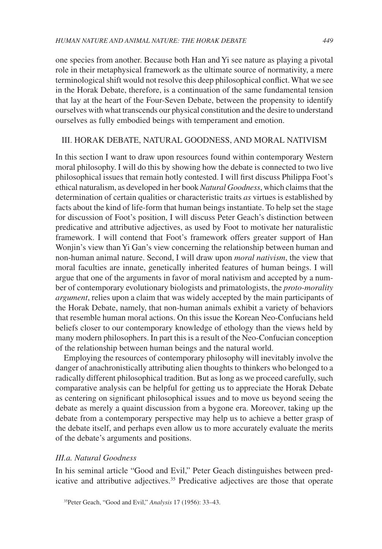one species from another. Because both Han and Yi see nature as playing a pivotal role in their metaphysical framework as the ultimate source of normativity, a mere terminological shift would not resolve this deep philosophical conflict. What we see in the Horak Debate, therefore, is a continuation of the same fundamental tension that lay at the heart of the Four-Seven Debate, between the propensity to identify ourselves with what transcends our physical constitution and the desire to understand ourselves as fully embodied beings with temperament and emotion.

#### III. HORAK DEBATE, NATURAL GOODNESS, AND MORAL NATIVISM

In this section I want to draw upon resources found within contemporary Western moral philosophy. I will do this by showing how the debate is connected to two live philosophical issues that remain hotly contested. I will first discuss Philippa Foot's ethical naturalism, as developed in her book *Natural Goodness*, which claims that the determination of certain qualities or characteristic traits *as* virtues is established by facts about the kind of life-form that human beings instantiate. To help set the stage for discussion of Foot's position, I will discuss Peter Geach's distinction between predicative and attributive adjectives, as used by Foot to motivate her naturalistic framework. I will contend that Foot's framework offers greater support of Han Wonjin's view than Yi Gan's view concerning the relationship between human and non-human animal nature. Second, I will draw upon *moral nativism*, the view that moral faculties are innate, genetically inherited features of human beings. I will argue that one of the arguments in favor of moral nativism and accepted by a number of contemporary evolutionary biologists and primatologists, the *proto-morality argument*, relies upon a claim that was widely accepted by the main participants of the Horak Debate, namely, that non-human animals exhibit a variety of behaviors that resemble human moral actions. On this issue the Korean Neo-Confucians held beliefs closer to our contemporary knowledge of ethology than the views held by many modern philosophers. In part this is a result of the Neo-Confucian conception of the relationship between human beings and the natural world.

Employing the resources of contemporary philosophy will inevitably involve the danger of anachronistically attributing alien thoughts to thinkers who belonged to a radically different philosophical tradition. But as long as we proceed carefully, such comparative analysis can be helpful for getting us to appreciate the Horak Debate as centering on significant philosophical issues and to move us beyond seeing the debate as merely a quaint discussion from a bygone era. Moreover, taking up the debate from a contemporary perspective may help us to achieve a better grasp of the debate itself, and perhaps even allow us to more accurately evaluate the merits of the debate's arguments and positions.

#### *III.a. Natural Goodness*

In his seminal article "Good and Evil," Peter Geach distinguishes between predicative and attributive adjectives.<sup>35</sup> Predicative adjectives are those that operate

<sup>35</sup>Peter Geach, "Good and Evil," *Analysis* 17 (1956): 33–43.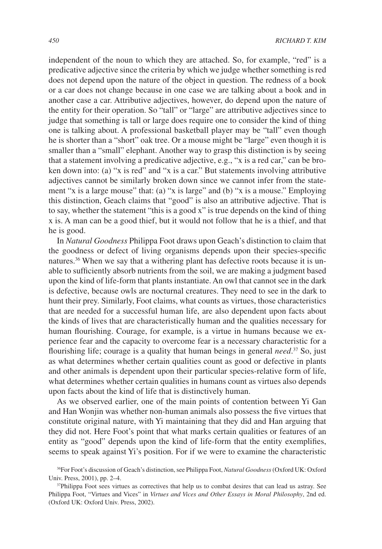independent of the noun to which they are attached. So, for example, "red" is a predicative adjective since the criteria by which we judge whether something is red does not depend upon the nature of the object in question. The redness of a book or a car does not change because in one case we are talking about a book and in another case a car. Attributive adjectives, however, do depend upon the nature of the entity for their operation. So "tall" or "large" are attributive adjectives since to judge that something is tall or large does require one to consider the kind of thing one is talking about. A professional basketball player may be "tall" even though he is shorter than a "short" oak tree. Or a mouse might be "large" even though it is smaller than a "small" elephant. Another way to grasp this distinction is by seeing that a statement involving a predicative adjective, e.g., "x is a red car," can be broken down into: (a) "x is red" and "x is a car." But statements involving attributive adjectives cannot be similarly broken down since we cannot infer from the statement "x is a large mouse" that: (a) "x is large" and (b) "x is a mouse." Employing this distinction, Geach claims that "good" is also an attributive adjective. That is to say, whether the statement "this is a good x" is true depends on the kind of thing x is. A man can be a good thief, but it would not follow that he is a thief, and that he is good.

In *Natural Goodness* Philippa Foot draws upon Geach's distinction to claim that the goodness or defect of living organisms depends upon their species-specific natures.<sup>36</sup> When we say that a withering plant has defective roots because it is unable to sufficiently absorb nutrients from the soil, we are making a judgment based upon the kind of life-form that plants instantiate. An owl that cannot see in the dark is defective, because owls are nocturnal creatures. They need to see in the dark to hunt their prey. Similarly, Foot claims, what counts as virtues, those characteristics that are needed for a successful human life, are also dependent upon facts about the kinds of lives that are characteristically human and the qualities necessary for human flourishing. Courage, for example, is a virtue in humans because we experience fear and the capacity to overcome fear is a necessary characteristic for a flourishing life; courage is a quality that human beings in general *need*. 37 So, just as what determines whether certain qualities count as good or defective in plants and other animals is dependent upon their particular species-relative form of life, what determines whether certain qualities in humans count as virtues also depends upon facts about the kind of life that is distinctively human.

As we observed earlier, one of the main points of contention between Yi Gan and Han Wonjin was whether non-human animals also possess the five virtues that constitute original nature, with Yi maintaining that they did and Han arguing that they did not. Here Foot's point that what marks certain qualities or features of an entity as "good" depends upon the kind of life-form that the entity exemplifies, seems to speak against Yi's position. For if we were to examine the characteristic

<sup>36</sup>For Foot's discussion of Geach's distinction, see Philippa Foot, *Natural Goodness* (Oxford UK: Oxford Univ. Press, 2001), pp. 2–4.

<sup>&</sup>lt;sup>37</sup>Philippa Foot sees virtues as correctives that help us to combat desires that can lead us astray. See Philippa Foot, "Virtues and Vices" in *Virtues and Vices and Other Essays in Moral Philosophy*, 2nd ed. (Oxford UK: Oxford Univ. Press, 2002).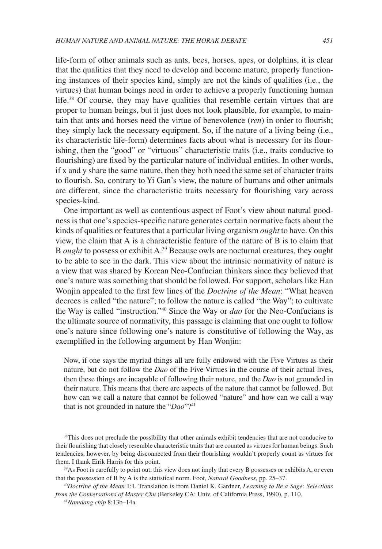life-form of other animals such as ants, bees, horses, apes, or dolphins, it is clear that the qualities that they need to develop and become mature, properly functioning instances of their species kind, simply are not the kinds of qualities (i.e., the virtues) that human beings need in order to achieve a properly functioning human life.<sup>38</sup> Of course, they may have qualities that resemble certain virtues that are proper to human beings, but it just does not look plausible, for example, to maintain that ants and horses need the virtue of benevolence (*ren*) in order to flourish; they simply lack the necessary equipment. So, if the nature of a living being (i.e., its characteristic life-form) determines facts about what is necessary for its flourishing, then the "good" or "virtuous" characteristic traits (i.e., traits conducive to flourishing) are fixed by the particular nature of individual entities. In other words, if x and y share the same nature, then they both need the same set of character traits to flourish. So, contrary to Yi Gan's view, the nature of humans and other animals are different, since the characteristic traits necessary for flourishing vary across species-kind.

One important as well as contentious aspect of Foot's view about natural goodness is that one's species-specific nature generates certain normative facts about the kinds of qualities or features that a particular living organism *ought* to have. On this view, the claim that A is a characteristic feature of the nature of B is to claim that B *ought* to possess or exhibit A.39 Because owls are nocturnal creatures, they ought to be able to see in the dark. This view about the intrinsic normativity of nature is a view that was shared by Korean Neo-Confucian thinkers since they believed that one's nature was something that should be followed. For support, scholars like Han Wonjin appealed to the first few lines of the *Doctrine of the Mean*: "What heaven decrees is called "the nature"; to follow the nature is called "the Way"; to cultivate the Way is called "instruction."40 Since the Way or *dao* for the Neo-Confucians is the ultimate source of normativity, this passage is claiming that one ought to follow one's nature since following one's nature is constitutive of following the Way, as exemplified in the following argument by Han Wonjin:

Now, if one says the myriad things all are fully endowed with the Five Virtues as their nature, but do not follow the *Dao* of the Five Virtues in the course of their actual lives, then these things are incapable of following their nature, and the *Dao* is not grounded in their nature. This means that there are aspects of the nature that cannot be followed. But how can we call a nature that cannot be followed "nature" and how can we call a way that is not grounded in nature the "*Dao*"?41

<sup>40</sup>*Doctrine of the Mean* 1:1. Translation is from Daniel K. Gardner, *Learning to Be a Sage: Selections from the Conversations of Master Chu* (Berkeley CA: Univ. of California Press, 1990), p. 110.

41*Namdang chip* 8:13b–14a.

<sup>&</sup>lt;sup>38</sup>This does not preclude the possibility that other animals exhibit tendencies that are not conducive to their flourishing that closely resemble characteristic traits that are counted as virtues for human beings. Such tendencies, however, by being disconnected from their flourishing wouldn't properly count as virtues for them. I thank Eirik Harris for this point.

<sup>&</sup>lt;sup>39</sup>As Foot is carefully to point out, this view does not imply that every B possesses or exhibits A, or even that the possession of B by A is the statistical norm. Foot, *Natural Goodness*, pp. 25–37.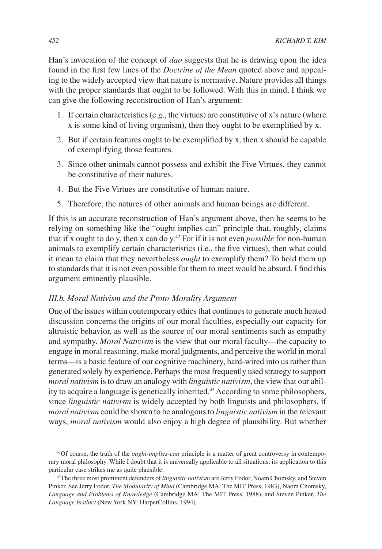Han's invocation of the concept of *dao* suggests that he is drawing upon the idea found in the first few lines of the *Doctrine of the Mean* quoted above and appealing to the widely accepted view that nature is normative. Nature provides all things with the proper standards that ought to be followed. With this in mind, I think we can give the following reconstruction of Han's argument:

- 1. If certain characteristics (e.g., the virtues) are constitutive of x's nature (where x is some kind of living organism), then they ought to be exemplified by x.
- 2. But if certain features ought to be exemplified by x, then x should be capable of exemplifying those features.
- 3. Since other animals cannot possess and exhibit the Five Virtues, they cannot be constitutive of their natures.
- 4. But the Five Virtues are constitutive of human nature.
- 5. Therefore, the natures of other animals and human beings are different.

If this is an accurate reconstruction of Han's argument above, then he seems to be relying on something like the "ought implies can" principle that, roughly, claims that if x ought to do y, then x can do y.42 For if it is not even *possible* for non-human animals to exemplify certain characteristics (i.e., the five virtues), then what could it mean to claim that they nevertheless *ought* to exemplify them? To hold them up to standards that it is not even possible for them to meet would be absurd. I find this argument eminently plausible.

#### *III.b. Moral Nativism and the Proto-Morality Argument*

One of the issues within contemporary ethics that continues to generate much heated discussion concerns the origins of our moral faculties, especially our capacity for altruistic behavior, as well as the source of our moral sentiments such as empathy and sympathy. *Moral Nativism* is the view that our moral faculty—the capacity to engage in moral reasoning, make moral judgments, and perceive the world in moral terms—is a basic feature of our cognitive machinery, hard-wired into us rather than generated solely by experience. Perhaps the most frequently used strategy to support *moral nativism* is to draw an analogy with *linguistic nativism*, the view that our ability to acquire a language is genetically inherited.<sup>43</sup> According to some philosophers, since *linguistic nativism* is widely accepted by both linguists and philosophers, if *moral nativism* could be shown to be analogous to *linguistic nativism* in the relevant ways, *moral nativism* would also enjoy a high degree of plausibility. But whether

<sup>42</sup>Of course, the truth of the *ought-implies-can* principle is a matter of great controversy in contemporary moral philosophy. While I doubt that it is universally applicable to all situations, its application to this particular case strikes me as quite plausible.

<sup>43</sup>The three most prominent defenders of *linguistic nativism* are Jerry Fodor, Noam Chomsky, and Steven Pinker. See Jerry Fodor, *The Modularity of Mind* (Cambridge MA: The MIT Press, 1983), Naom Chomsky, *Language and Problems of Knowledge* (Cambridge MA: The MIT Press, 1988), and Steven Pinker, *The Language Instinct* (New York NY: HarperCollins, 1994).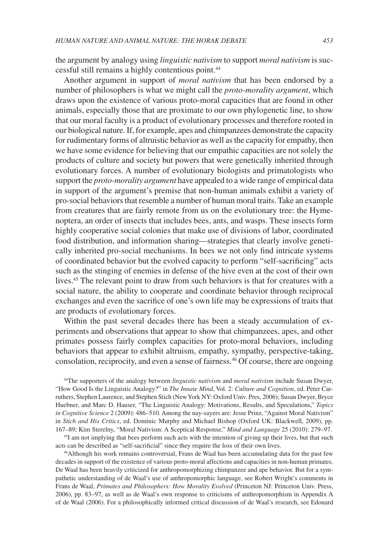the argument by analogy using *linguistic nativism* to support *moral nativism* is successful still remains a highly contentious point.44

Another argument in support of *moral nativism* that has been endorsed by a number of philosophers is what we might call the *proto-morality argument*, which draws upon the existence of various proto-moral capacities that are found in other animals, especially those that are proximate to our own phylogenetic line, to show that our moral faculty is a product of evolutionary processes and therefore rooted in our biological nature. If, for example, apes and chimpanzees demonstrate the capacity for rudimentary forms of altruistic behavior as well as the capacity for empathy, then we have some evidence for believing that our empathic capacities are not solely the products of culture and society but powers that were genetically inherited through evolutionary forces. A number of evolutionary biologists and primatologists who support the *proto-morality argument* have appealed to a wide range of empirical data in support of the argument's premise that non-human animals exhibit a variety of pro-social behaviors that resemble a number of human moral traits. Take an example from creatures that are fairly remote from us on the evolutionary tree: the Hymenoptera, an order of insects that includes bees, ants, and wasps. These insects form highly cooperative social colonies that make use of divisions of labor, coordinated food distribution, and information sharing—strategies that clearly involve genetically inherited pro-social mechanisms. In bees we not only find intricate systems of coordinated behavior but the evolved capacity to perform "self-sacrificing" acts such as the stinging of enemies in defense of the hive even at the cost of their own lives.45 The relevant point to draw from such behaviors is that for creatures with a social nature, the ability to cooperate and coordinate behavior through reciprocal exchanges and even the sacrifice of one's own life may be expressions of traits that are products of evolutionary forces.

Within the past several decades there has been a steady accumulation of experiments and observations that appear to show that chimpanzees, apes, and other primates possess fairly complex capacities for proto-moral behaviors, including behaviors that appear to exhibit altruism, empathy, sympathy, perspective-taking, consolation, reciprocity, and even a sense of fairness.<sup>46</sup> Of course, there are ongoing

44The supporters of the analogy between *linguistic nativism* and *moral nativism* include Susan Dwyer, "How Good Is the Linguistic Analogy?" in *The Innate Mind*, Vol. 2: *Culture and Cognition*, ed. Peter Carruthers, Stephen Laurence, and Stephen Stich (New York NY: Oxford Univ. Pres, 2006); Susan Dwyer, Bryce Huebner, and Marc D. Hauser, "The Linguistic Analogy: Motivations, Results, and Speculations," *Topics in Cognitive Science* 2 (2009): 486–510. Among the nay-sayers are: Jesse Prinz, "Against Moral Nativism" in *Stich and His Critics*, ed. Dominic Murphy and Michael Bishop (Oxford UK: Blackwell, 2009), pp. 167–89; Kim Sterelny, "Moral Nativism: A Sceptical Response," *Mind and Language* 25 (2010): 279–97.

<sup>45</sup>I am not implying that bees perform such acts with the intention of giving up their lives, but that such acts can be described as "self-sacrificial" since they require the loss of their own lives.

46Although his work remains controversial, Frans de Waal has been accumulating data for the past few decades in support of the existence of various proto-moral affections and capacities in non-human primates. De Waal has been heavily criticized for anthropomorphizing chimpanzee and ape behavior. But for a sympathetic understanding of de Waal's use of anthropomorphic language, see Robert Wright's comments in Frans de Waal, *Primates and Philosophers: How Morality Evolved* (Princeton NJ: Princeton Univ. Press, 2006), pp. 83–97, as well as de Waal's own response to criticisms of anthropomorphism in Appendix A of de Waal (2006). For a philosophically informed critical discussion of de Waal's research, see Edouard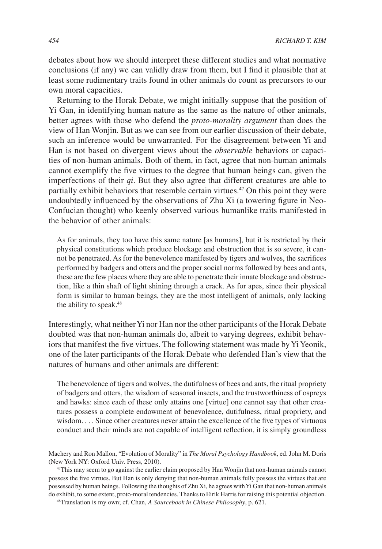debates about how we should interpret these different studies and what normative conclusions (if any) we can validly draw from them, but I find it plausible that at least some rudimentary traits found in other animals do count as precursors to our own moral capacities.

Returning to the Horak Debate, we might initially suppose that the position of Yi Gan, in identifying human nature as the same as the nature of other animals, better agrees with those who defend the *proto-morality argument* than does the view of Han Wonjin. But as we can see from our earlier discussion of their debate, such an inference would be unwarranted. For the disagreement between Yi and Han is not based on divergent views about the *observable* behaviors or capacities of non-human animals. Both of them, in fact, agree that non-human animals cannot exemplify the five virtues to the degree that human beings can, given the imperfections of their *qi*. But they also agree that different creatures are able to partially exhibit behaviors that resemble certain virtues.47 On this point they were undoubtedly influenced by the observations of Zhu Xi (a towering figure in Neo-Confucian thought) who keenly observed various humanlike traits manifested in the behavior of other animals:

As for animals, they too have this same nature [as humans], but it is restricted by their physical constitutions which produce blockage and obstruction that is so severe, it cannot be penetrated. As for the benevolence manifested by tigers and wolves, the sacrifices performed by badgers and otters and the proper social norms followed by bees and ants, these are the few places where they are able to penetrate their innate blockage and obstruction, like a thin shaft of light shining through a crack. As for apes, since their physical form is similar to human beings, they are the most intelligent of animals, only lacking the ability to speak.<sup>48</sup>

Interestingly, what neither Yi nor Han nor the other participants of the Horak Debate doubted was that non-human animals do, albeit to varying degrees, exhibit behaviors that manifest the five virtues. The following statement was made by Yi Yeonik, one of the later participants of the Horak Debate who defended Han's view that the natures of humans and other animals are different:

The benevolence of tigers and wolves, the dutifulness of bees and ants, the ritual propriety of badgers and otters, the wisdom of seasonal insects, and the trustworthiness of ospreys and hawks: since each of these only attains one [virtue] one cannot say that other creatures possess a complete endowment of benevolence, dutifulness, ritual propriety, and wisdom. . . . Since other creatures never attain the excellence of the five types of virtuous conduct and their minds are not capable of intelligent reflection, it is simply groundless

Machery and Ron Mallon, "Evolution of Morality" in *The Moral Psychology Handbook*, ed. John M. Doris (New York NY: Oxford Univ. Press, 2010).

47This may seem to go against the earlier claim proposed by Han Wonjin that non-human animals cannot possess the five virtues. But Han is only denying that non-human animals fully possess the virtues that are possessed by human beings. Following the thoughts of Zhu Xi, he agrees with Yi Gan that non-human animals do exhibit, to some extent, proto-moral tendencies. Thanks to Eirik Harris for raising this potential objection.

48Translation is my own; cf. Chan, *A Sourcebook in Chinese Philosophy*, p. 621.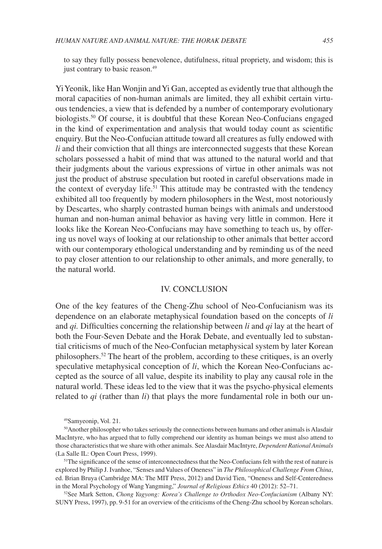to say they fully possess benevolence, dutifulness, ritual propriety, and wisdom; this is just contrary to basic reason.<sup>49</sup>

Yi Yeonik, like Han Wonjin and Yi Gan, accepted as evidently true that although the moral capacities of non-human animals are limited, they all exhibit certain virtuous tendencies, a view that is defended by a number of contemporary evolutionary biologists.50 Of course, it is doubtful that these Korean Neo-Confucians engaged in the kind of experimentation and analysis that would today count as scientific enquiry. But the Neo-Confucian attitude toward all creatures as fully endowed with *li* and their conviction that all things are interconnected suggests that these Korean scholars possessed a habit of mind that was attuned to the natural world and that their judgments about the various expressions of virtue in other animals was not just the product of abstruse speculation but rooted in careful observations made in the context of everyday life.<sup>51</sup> This attitude may be contrasted with the tendency exhibited all too frequently by modern philosophers in the West, most notoriously by Descartes, who sharply contrasted human beings with animals and understood human and non-human animal behavior as having very little in common. Here it looks like the Korean Neo-Confucians may have something to teach us, by offering us novel ways of looking at our relationship to other animals that better accord with our contemporary ethological understanding and by reminding us of the need to pay closer attention to our relationship to other animals, and more generally, to the natural world.

#### IV. CONCLUSION

One of the key features of the Cheng-Zhu school of Neo-Confucianism was its dependence on an elaborate metaphysical foundation based on the concepts of *li*  and *qi.* Difficulties concerning the relationship between *li* and *qi* lay at the heart of both the Four-Seven Debate and the Horak Debate, and eventually led to substantial criticisms of much of the Neo-Confucian metaphysical system by later Korean philosophers.52 The heart of the problem, according to these critiques, is an overly speculative metaphysical conception of *li*, which the Korean Neo-Confucians accepted as the source of all value, despite its inability to play any causal role in the natural world. These ideas led to the view that it was the psycho-physical elements related to *qi* (rather than *li*) that plays the more fundamental role in both our un-

52See Mark Setton, *Chong Yagyong: Korea's Challenge to Orthodox Neo-Confucianism* (Albany NY: SUNY Press, 1997), pp. 9-51 for an overview of the criticisms of the Cheng-Zhu school by Korean scholars.

<sup>49</sup>Samyeonip, Vol. 21.

<sup>50</sup>Another philosopher who takes seriously the connections between humans and other animals is Alasdair MacIntyre, who has argued that to fully comprehend our identity as human beings we must also attend to those characteristics that we share with other animals. See Alasdair MacIntyre, *Dependent Rational Animals*  (La Salle IL: Open Court Press, 1999).

<sup>&</sup>lt;sup>51</sup>The significance of the sense of interconnectedness that the Neo-Confucians felt with the rest of nature is explored by Philip J. Ivanhoe, "Senses and Values of Oneness" in *The Philosophical Challenge From China*, ed. Brian Bruya (Cambridge MA: The MIT Press, 2012) and David Tien, "Oneness and Self-Centeredness in the Moral Psychology of Wang Yangming," *Journal of Religious Ethics* 40 (2012): 52–71.